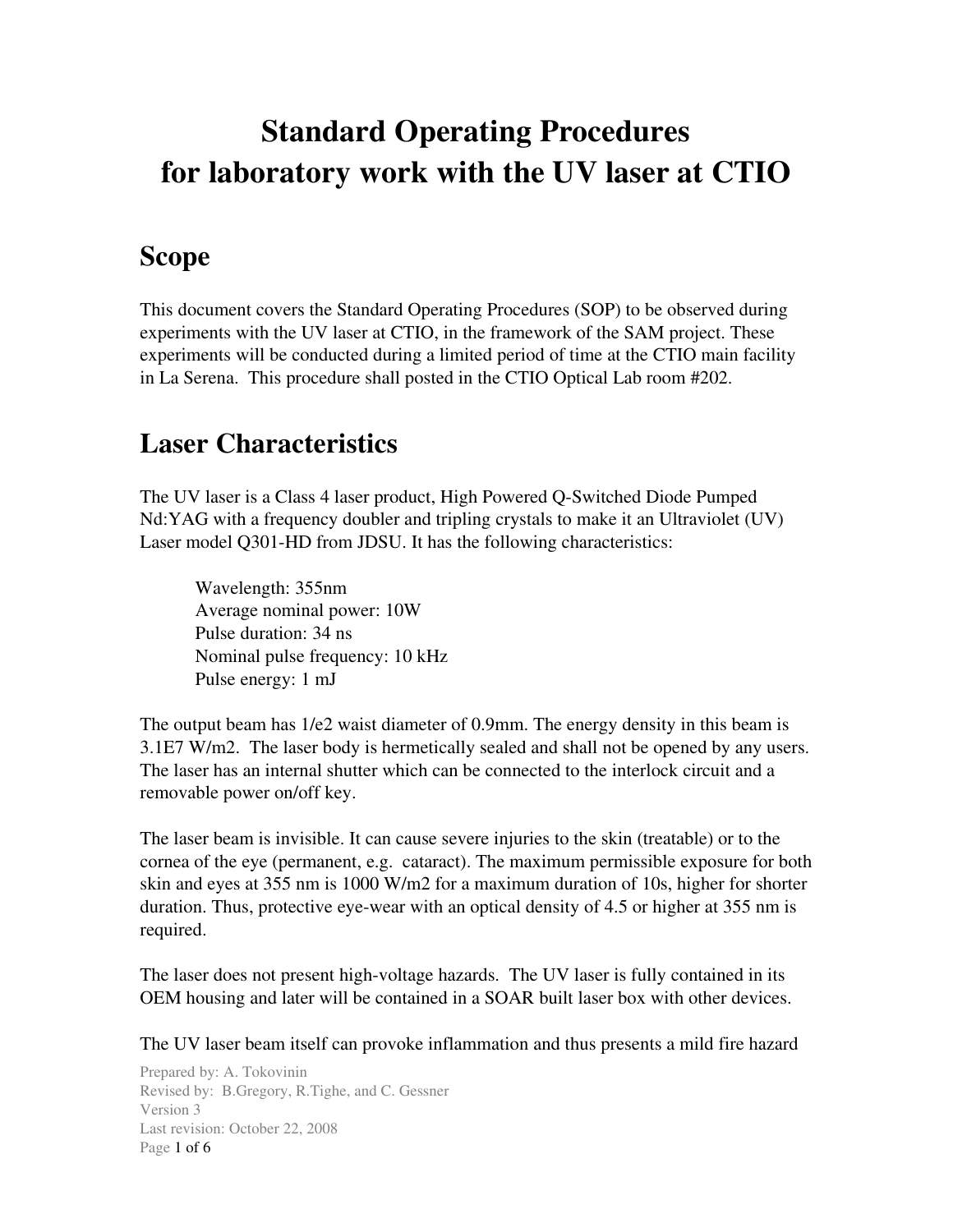# Standard Operating Procedures for laboratory work with the UV laser at CTIO

## Scope

This document covers the Standard Operating Procedures (SOP) to be observed during experiments with the UV laser at CTIO, in the framework of the SAM project. These experiments will be conducted during a limited period of time at the CTIO main facility in La Serena. This procedure shall posted in the CTIO Optical Lab room #202.

# Laser Characteristics

The UV laser is a Class 4 laser product, High Powered Q-Switched Diode Pumped Nd:YAG with a frequency doubler and tripling crystals to make it an Ultraviolet (UV) Laser model Q301-HD from JDSU. It has the following characteristics:

Wavelength: 355nm Average nominal power: 10W Pulse duration: 34 ns Nominal pulse frequency: 10 kHz Pulse energy: 1 mJ

The output beam has 1/e2 waist diameter of 0.9mm. The energy density in this beam is 3.1E7 W/m2. The laser body is hermetically sealed and shall not be opened by any users. The laser has an internal shutter which can be connected to the interlock circuit and a removable power on/off key.

The laser beam is invisible. It can cause severe injuries to the skin (treatable) or to the cornea of the eye (permanent, e.g. cataract). The maximum permissible exposure for both skin and eyes at 355 nm is 1000 W/m2 for a maximum duration of 10s, higher for shorter duration. Thus, protective eye-wear with an optical density of 4.5 or higher at 355 nm is required.

The laser does not present high-voltage hazards. The UV laser is fully contained in its OEM housing and later will be contained in a SOAR built laser box with other devices.

The UV laser beam itself can provoke inflammation and thus presents a mild fire hazard

Prepared by: A. Tokovinin Revised by: B.Gregory, R.Tighe, and C. Gessner Version 3 Last revision: October 22, 2008 Page 1 of 6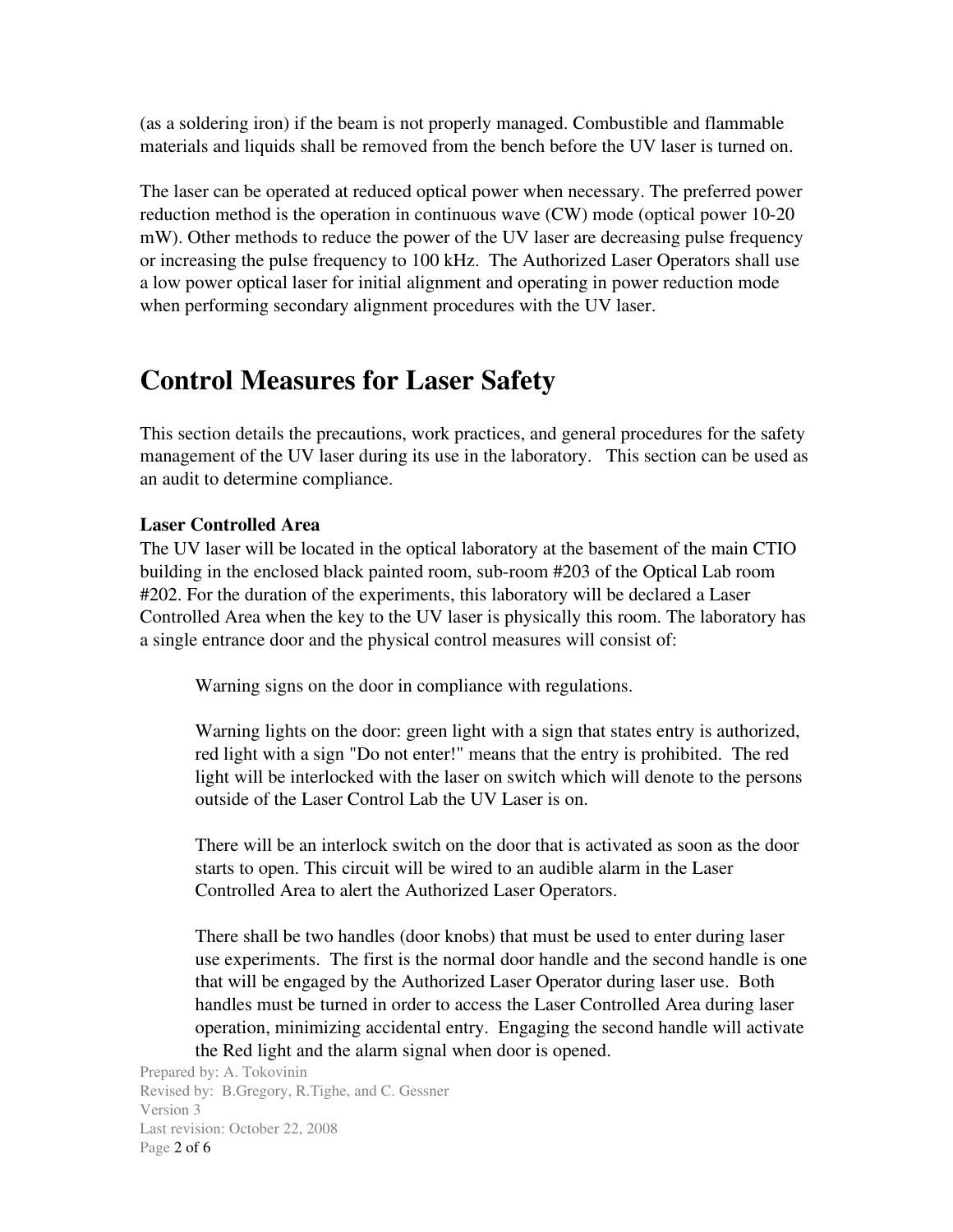(as a soldering iron) if the beam is not properly managed. Combustible and flammable materials and liquids shall be removed from the bench before the UV laser is turned on.

The laser can be operated at reduced optical power when necessary. The preferred power reduction method is the operation in continuous wave (CW) mode (optical power 10-20 mW). Other methods to reduce the power of the UV laser are decreasing pulse frequency or increasing the pulse frequency to 100 kHz. The Authorized Laser Operators shall use a low power optical laser for initial alignment and operating in power reduction mode when performing secondary alignment procedures with the UV laser.

### Control Measures for Laser Safety

This section details the precautions, work practices, and general procedures for the safety management of the UV laser during its use in the laboratory. This section can be used as an audit to determine compliance.

#### Laser Controlled Area

The UV laser will be located in the optical laboratory at the basement of the main CTIO building in the enclosed black painted room, subroom #203 of the Optical Lab room #202. For the duration of the experiments, this laboratory will be declared a Laser Controlled Area when the key to the UV laser is physically this room. The laboratory has a single entrance door and the physical control measures will consist of:

Warning signs on the door in compliance with regulations.

Warning lights on the door: green light with a sign that states entry is authorized, red light with a sign "Do not enter!" means that the entry is prohibited. The red light will be interlocked with the laser on switch which will denote to the persons outside of the Laser Control Lab the UV Laser is on.

There will be an interlock switch on the door that is activated as soon as the door starts to open. This circuit will be wired to an audible alarm in the Laser Controlled Area to alert the Authorized Laser Operators.

There shall be two handles (door knobs) that must be used to enter during laser use experiments. The first is the normal door handle and the second handle is one that will be engaged by the Authorized Laser Operator during laser use. Both handles must be turned in order to access the Laser Controlled Area during laser operation, minimizing accidental entry. Engaging the second handle will activate the Red light and the alarm signal when door is opened.

Prepared by: A. Tokovinin Revised by: B.Gregory, R.Tighe, and C. Gessner Version 3 Last revision: October 22, 2008 Page 2 of 6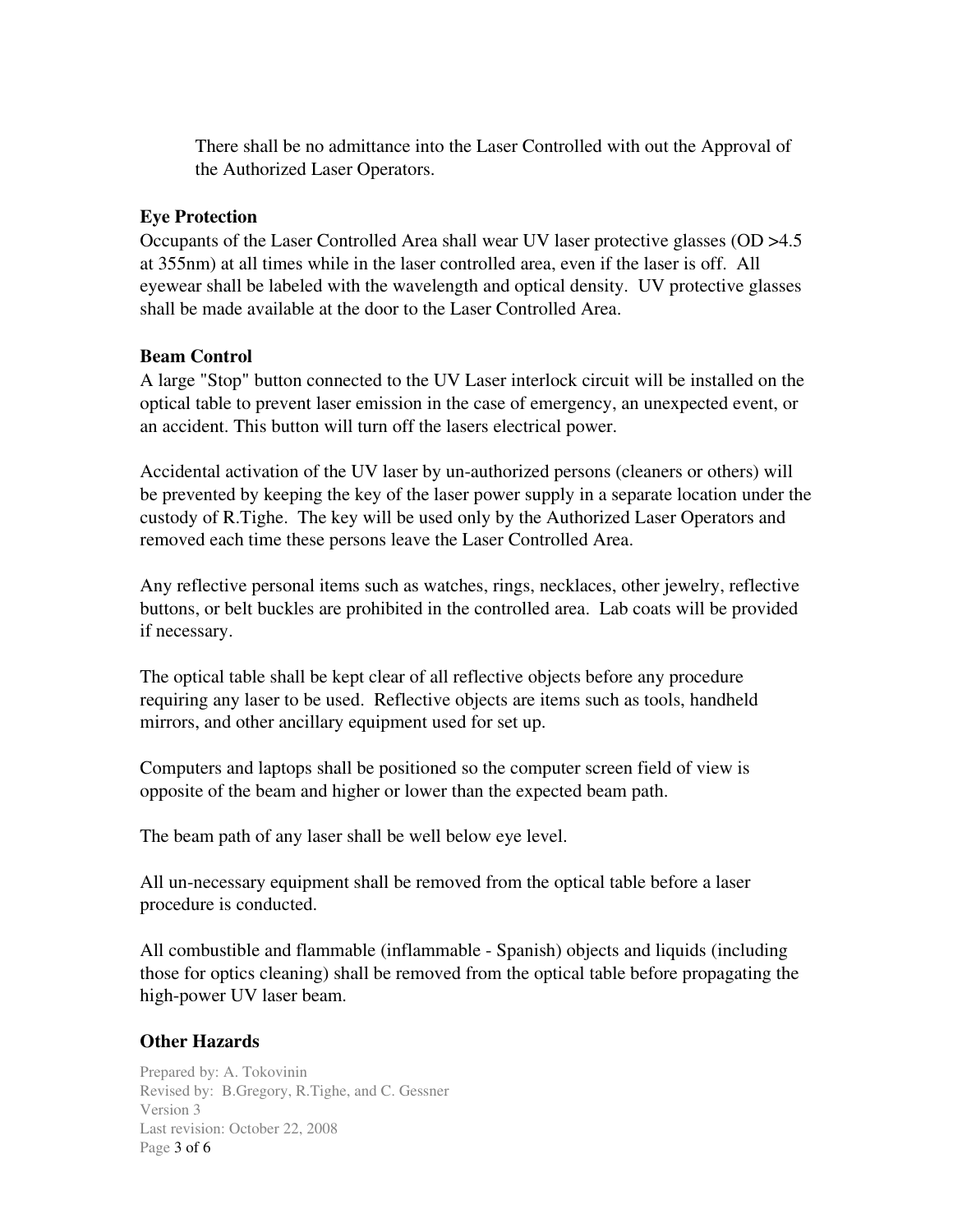There shall be no admittance into the Laser Controlled with out the Approval of the Authorized Laser Operators.

#### Eye Protection

Occupants of the Laser Controlled Area shall wear UV laser protective glasses (OD >4.5 at 355nm) at all times while in the laser controlled area, even if the laser is off. All eyewear shall be labeled with the wavelength and optical density. UV protective glasses shall be made available at the door to the Laser Controlled Area.

#### Beam Control

A large "Stop" button connected to the UV Laser interlock circuit will be installed on the optical table to prevent laser emission in the case of emergency, an unexpected event, or an accident. This button will turn off the lasers electrical power.

Accidental activation of the UV laser by un-authorized persons (cleaners or others) will be prevented by keeping the key of the laser power supply in a separate location under the custody of R.Tighe. The key will be used only by the Authorized Laser Operators and removed each time these persons leave the Laser Controlled Area.

Any reflective personal items such as watches, rings, necklaces, other jewelry, reflective buttons, or belt buckles are prohibited in the controlled area. Lab coats will be provided if necessary.

The optical table shall be kept clear of all reflective objects before any procedure requiring any laser to be used. Reflective objects are items such as tools, handheld mirrors, and other ancillary equipment used for set up.

Computers and laptops shall be positioned so the computer screen field of view is opposite of the beam and higher or lower than the expected beam path.

The beam path of any laser shall be well below eye level.

All un-necessary equipment shall be removed from the optical table before a laser procedure is conducted.

All combustible and flammable (inflammable Spanish) objects and liquids (including those for optics cleaning) shall be removed from the optical table before propagating the high-power UV laser beam.

#### Other Hazards

Prepared by: A. Tokovinin Revised by: B.Gregory, R.Tighe, and C. Gessner Version 3 Last revision: October 22, 2008 Page 3 of 6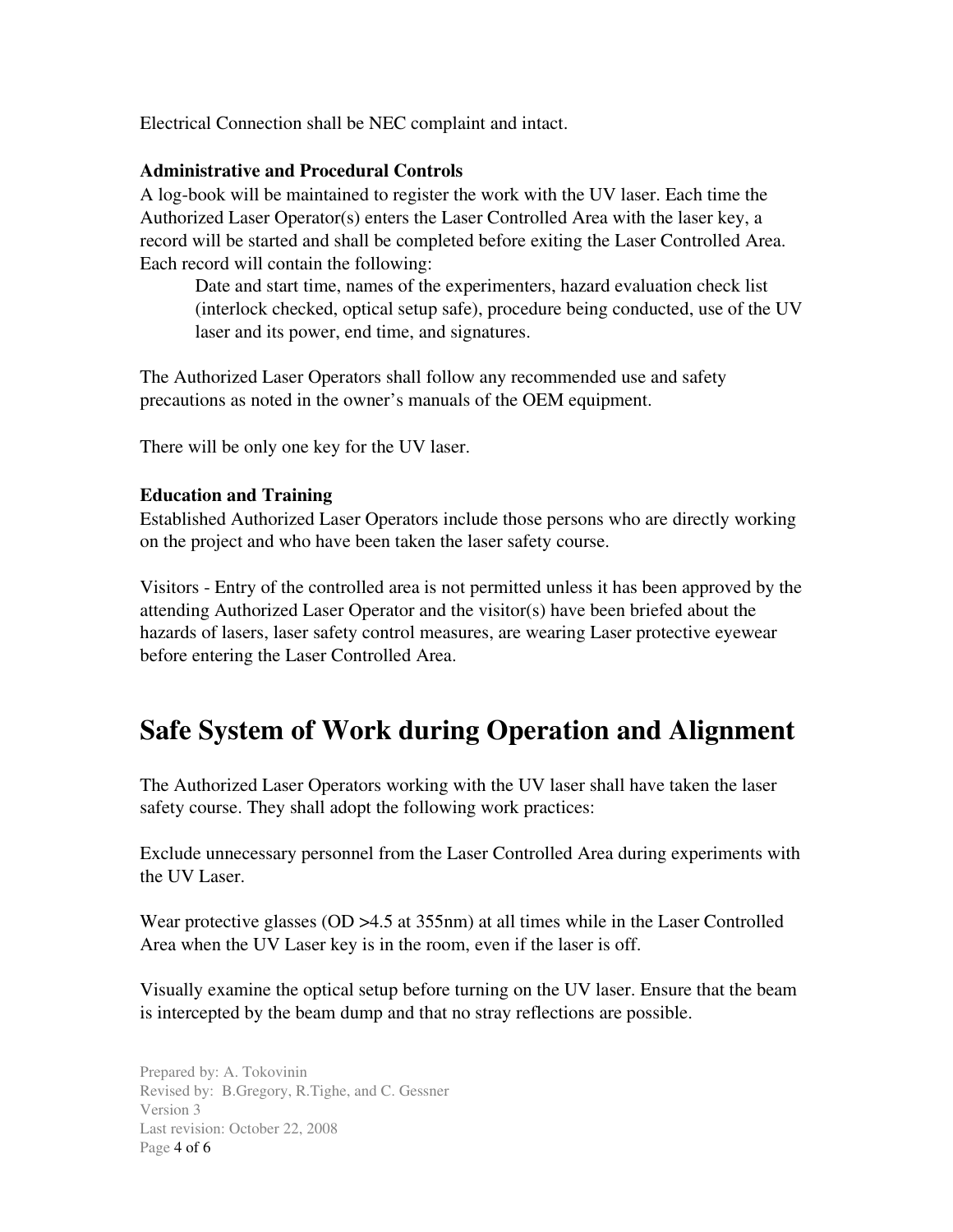Electrical Connection shall be NEC complaint and intact.

#### Administrative and Procedural Controls

A log-book will be maintained to register the work with the UV laser. Each time the Authorized Laser Operator(s) enters the Laser Controlled Area with the laser key, a record will be started and shall be completed before exiting the Laser Controlled Area. Each record will contain the following:

Date and start time, names of the experimenters, hazard evaluation check list (interlock checked, optical setup safe), procedure being conducted, use of the UV laser and its power, end time, and signatures.

The Authorized Laser Operators shall follow any recommended use and safety precautions as noted in the owner's manuals of the OEM equipment.

There will be only one key for the UV laser.

#### Education and Training

Established Authorized Laser Operators include those persons who are directly working on the project and who have been taken the laser safety course.

Visitors Entry of the controlled area is not permitted unless it has been approved by the attending Authorized Laser Operator and the visitor(s) have been briefed about the hazards of lasers, laser safety control measures, are wearing Laser protective eyewear before entering the Laser Controlled Area.

### Safe System of Work during Operation and Alignment

The Authorized Laser Operators working with the UV laser shall have taken the laser safety course. They shall adopt the following work practices:

Exclude unnecessary personnel from the Laser Controlled Area during experiments with the UV Laser.

Wear protective glasses (OD > 4.5 at 355nm) at all times while in the Laser Controlled Area when the UV Laser key is in the room, even if the laser is off.

Visually examine the optical setup before turning on the UV laser. Ensure that the beam is intercepted by the beam dump and that no stray reflections are possible.

Prepared by: A. Tokovinin Revised by: B.Gregory, R.Tighe, and C. Gessner Version 3 Last revision: October 22, 2008 Page 4 of 6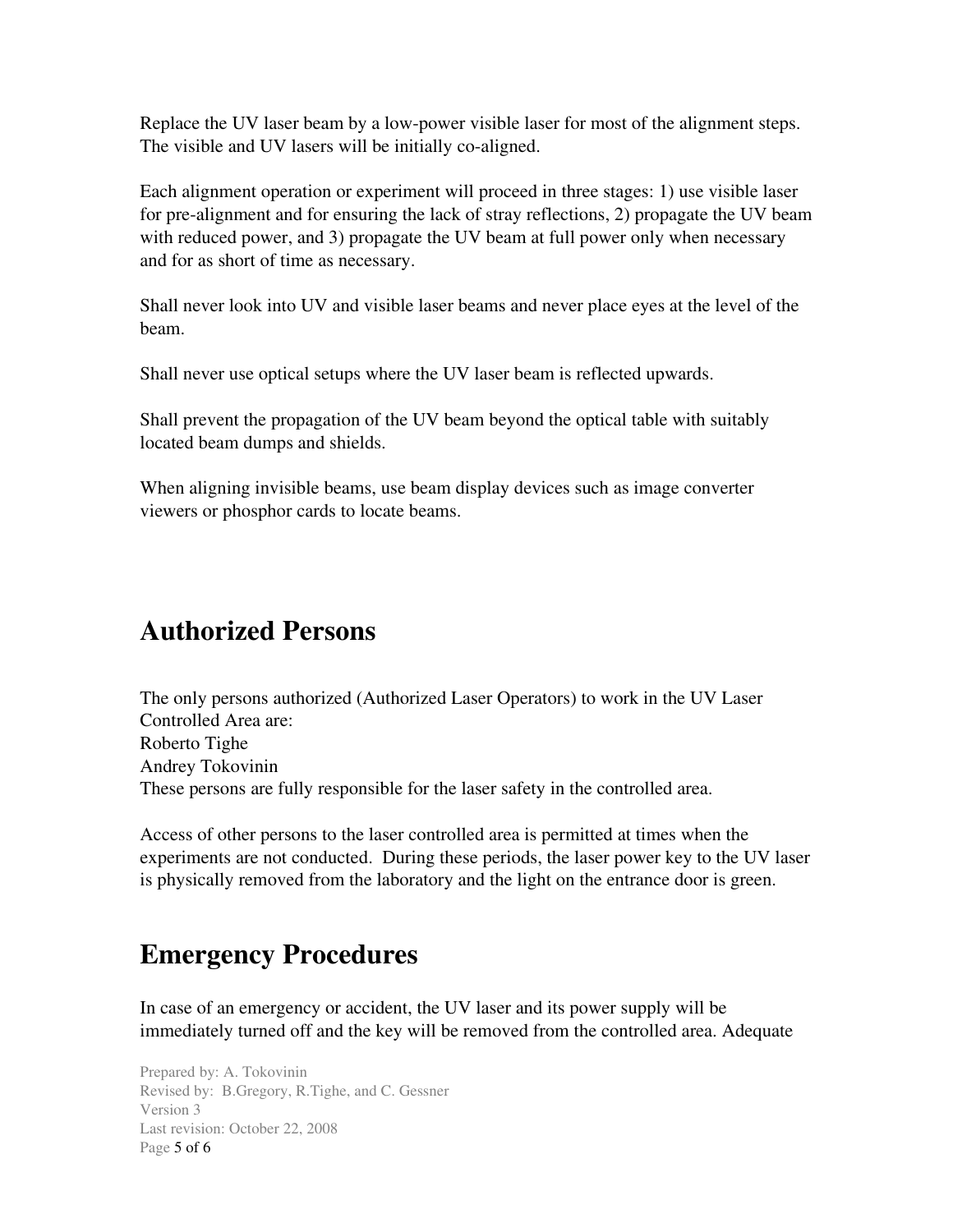Replace the UV laser beam by a low-power visible laser for most of the alignment steps. The visible and UV lasers will be initially co-aligned.

Each alignment operation or experiment will proceed in three stages: 1) use visible laser for pre-alignment and for ensuring the lack of stray reflections, 2) propagate the UV beam with reduced power, and 3) propagate the UV beam at full power only when necessary and for as short of time as necessary.

Shall never look into UV and visible laser beams and never place eyes at the level of the beam.

Shall never use optical setups where the UV laser beam is reflected upwards.

Shall prevent the propagation of the UV beam beyond the optical table with suitably located beam dumps and shields.

When aligning invisible beams, use beam display devices such as image converter viewers or phosphor cards to locate beams.

## Authorized Persons

The only persons authorized (Authorized Laser Operators) to work in the UV Laser Controlled Area are: Roberto Tighe Andrey Tokovinin These persons are fully responsible for the laser safety in the controlled area.

Access of other persons to the laser controlled area is permitted at times when the experiments are not conducted. During these periods, the laser power key to the UV laser is physically removed from the laboratory and the light on the entrance door is green.

# Emergency Procedures

In case of an emergency or accident, the UV laser and its power supply will be immediately turned off and the key will be removed from the controlled area. Adequate

Prepared by: A. Tokovinin Revised by: B.Gregory, R.Tighe, and C. Gessner Version 3 Last revision: October 22, 2008 Page 5 of 6